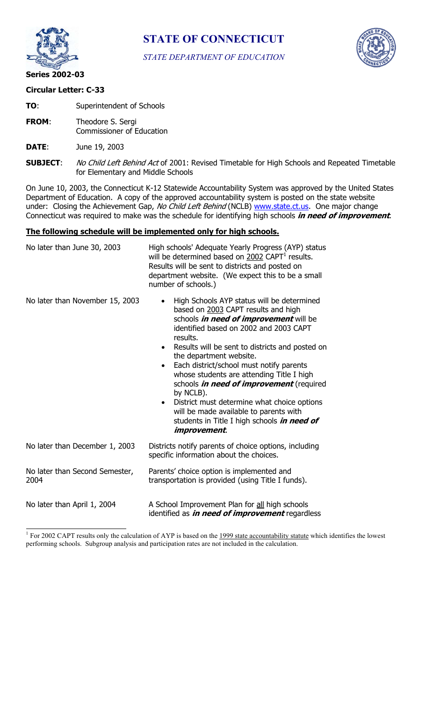

**STATE OF CONNECTICUT** 

*STATE DEPARTMENT OF EDUCATION* 



## **Circular Letter: C-33**

**TO:** Superintendent of Schools

**FROM**: Theodore S. Sergi Commissioner of Education

**DATE**: June 19, 2003

**SUBJECT:** No Child Left Behind Act of 2001: Revised Timetable for High Schools and Repeated Timetable for Elementary and Middle Schools

On June 10, 2003, the Connecticut K-12 Statewide Accountability System was approved by the United States Department of Education. A copy of the approved accountability system is posted on the state website under: Closing the Achievement Gap, No Child Left Behind (NCLB) www.state.ct.us. One major change Connecticut was required to make was the schedule for identifying high schools **in need of improvement**.

## **The following schedule will be implemented only for high schools.**

| No later than June 30, 2003            | High schools' Adequate Yearly Progress (AYP) status<br>will be determined based on 2002 CAPT <sup>1</sup> results.<br>Results will be sent to districts and posted on<br>department website. (We expect this to be a small<br>number of schools.)                                                                                                                                                                                                                                                                                                                                                           |
|----------------------------------------|-------------------------------------------------------------------------------------------------------------------------------------------------------------------------------------------------------------------------------------------------------------------------------------------------------------------------------------------------------------------------------------------------------------------------------------------------------------------------------------------------------------------------------------------------------------------------------------------------------------|
| No later than November 15, 2003        | High Schools AYP status will be determined<br>$\bullet$<br>based on 2003 CAPT results and high<br>schools <i>in need of improvement</i> will be<br>identified based on 2002 and 2003 CAPT<br>results.<br>Results will be sent to districts and posted on<br>the department website.<br>Each district/school must notify parents<br>whose students are attending Title I high<br>schools <i>in need of improvement</i> (required<br>by NCLB).<br>District must determine what choice options<br>will be made available to parents with<br>students in Title I high schools in need of<br><i>improvement.</i> |
| No later than December 1, 2003         | Districts notify parents of choice options, including<br>specific information about the choices.                                                                                                                                                                                                                                                                                                                                                                                                                                                                                                            |
| No later than Second Semester,<br>2004 | Parents' choice option is implemented and<br>transportation is provided (using Title I funds).                                                                                                                                                                                                                                                                                                                                                                                                                                                                                                              |
| No later than April 1, 2004            | A School Improvement Plan for all high schools<br>identified as <i>in need of improvement</i> regardless                                                                                                                                                                                                                                                                                                                                                                                                                                                                                                    |

<sup>1</sup> For 2002 CAPT results only the calculation of AYP is based on the  $\frac{1999}{4}$  state accountability statute which identifies the lowest performing schools. Subgroup analysis and participation rates are not included in the calculation.